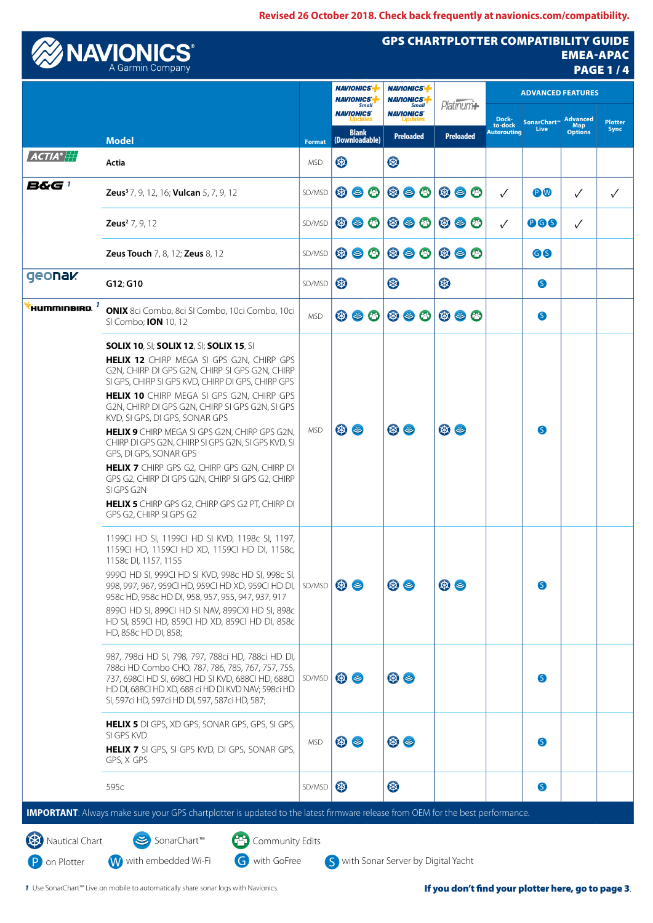**Revised 26 October 2018. Check back frequently at navionics.com/compatibility.**

|                                 |                                                                                                                                                                                                                                                                                                                                                                                                                                                                                                                                                                                                                                                                                       |               | <b>NAVIONICS</b><br><b>NAVIONICS</b><br><b>Small</b> |                         |                               | <b>NAVIONICS-</b><br><b>NAVIONICS</b><br><b>Small</b> |                  | Platinum+      |                  | <b>ADVANCED FEATURES</b>               |                     |                                          |                               |
|---------------------------------|---------------------------------------------------------------------------------------------------------------------------------------------------------------------------------------------------------------------------------------------------------------------------------------------------------------------------------------------------------------------------------------------------------------------------------------------------------------------------------------------------------------------------------------------------------------------------------------------------------------------------------------------------------------------------------------|---------------|------------------------------------------------------|-------------------------|-------------------------------|-------------------------------------------------------|------------------|----------------|------------------|----------------------------------------|---------------------|------------------------------------------|-------------------------------|
|                                 |                                                                                                                                                                                                                                                                                                                                                                                                                                                                                                                                                                                                                                                                                       |               |                                                      | <b>NAVIONICS</b>        |                               | <b>NAVIONICS</b>                                      |                  |                |                  | Dock-<br>to-dock<br><b>Autorouting</b> | SonarChart™<br>Live | <b>Advanced</b><br>Map<br><b>Options</b> | <b>Plotter</b><br><b>Sync</b> |
| $\bm{ACTIA}^{\circ}$ $\ket{++}$ | <b>Model</b>                                                                                                                                                                                                                                                                                                                                                                                                                                                                                                                                                                                                                                                                          | <b>Format</b> |                                                      | Blank<br>(Downloadable) |                               |                                                       | <b>Preloaded</b> |                | <b>Preloaded</b> |                                        |                     |                                          |                               |
|                                 | Actia                                                                                                                                                                                                                                                                                                                                                                                                                                                                                                                                                                                                                                                                                 | <b>MSD</b>    | 3                                                    |                         |                               | $\circledast$                                         |                  |                |                  |                                        |                     |                                          |                               |
| B&G 1                           | <b>Zeus<sup>3</sup>7, 9, 12, 16; Vulcan 5, 7, 9, 12</b>                                                                                                                                                                                                                                                                                                                                                                                                                                                                                                                                                                                                                               | SD/MSD        |                                                      |                         | $\circledcirc$ $\circledcirc$ | $\circledcirc$ $\circledcirc$                         |                  | $\circledcirc$ | $\bullet$        | $\checkmark$                           | PW                  | $\checkmark$                             | ✓                             |
|                                 | <b>Zeus<sup>2</sup></b> $7, 9, 12$                                                                                                                                                                                                                                                                                                                                                                                                                                                                                                                                                                                                                                                    | SD/MSD        |                                                      |                         | $\circledcirc$ $\circledcirc$ | $\circledcirc$ $\circledcirc$                         |                  |                | $\circledcirc$ 0 | $\checkmark$                           | <b>000</b>          | ✓                                        |                               |
|                                 | <b>Zeus Touch 7, 8, 12; Zeus 8, 12</b>                                                                                                                                                                                                                                                                                                                                                                                                                                                                                                                                                                                                                                                | SD/MSD        |                                                      |                         | $\circledcirc$ $\circledcirc$ | $\circledcirc$ $\circledcirc$                         |                  |                | $\circledcirc$   |                                        | 66                  |                                          |                               |
| geonak                          | G12; G10                                                                                                                                                                                                                                                                                                                                                                                                                                                                                                                                                                                                                                                                              | SD/MSD        | $\circledast$                                        |                         |                               | 3                                                     |                  | B              |                  |                                        | S                   |                                          |                               |
| 'HUMMINBIRD. $^\mathrm{7}$      | ONIX 8ci Combo, 8ci SI Combo, 10ci Combo, 10ci<br>SI Combo; <b>ION</b> 10, 12                                                                                                                                                                                                                                                                                                                                                                                                                                                                                                                                                                                                         | <b>MSD</b>    |                                                      |                         | $\circledcirc$ $\circledcirc$ | $\circledcirc$ $\circledcirc$                         |                  |                | $\circledcirc$   |                                        | S                   |                                          |                               |
|                                 | <b>SOLIX 10, SI; SOLIX 12, SI; SOLIX 15, SI</b><br><b>HELIX 12</b> CHIRP MEGA SI GPS G2N, CHIRP GPS<br>G2N, CHIRP DI GPS G2N, CHIRP SI GPS G2N, CHIRP<br>SI GPS, CHIRP SI GPS KVD, CHIRP DI GPS, CHIRP GPS<br>HELIX 10 CHIRP MEGA SI GPS G2N, CHIRP GPS<br>G2N, CHIRP DI GPS G2N, CHIRP SI GPS G2N, SI GPS<br>KVD, SI GPS, DI GPS, SONAR GPS<br>HELIX 9 CHIRP MEGA SI GPS G2N, CHIRP GPS G2N,<br>CHIRP DI GPS G2N, CHIRP SI GPS G2N, SI GPS KVD, SI<br>GPS, DI GPS, SONAR GPS<br><b>HELIX 7</b> CHIRP GPS G2, CHIRP GPS G2N, CHIRP DI<br>GPS G2, CHIRP DI GPS G2N, CHIRP SI GPS G2, CHIRP<br>SI GPS G2N<br>HELIX 5 CHIRP GPS G2, CHIRP GPS G2 PT, CHIRP DI<br>GPS G2, CHIRP SI GPS G2 | <b>MSD</b>    |                                                      | ⊛ ⊜                     |                               | ⊛ ⊜                                                   |                  | $\circledast$  |                  |                                        | S                   |                                          |                               |
|                                 | 1199CI HD SI, 1199CI HD SI KVD, 1198c SI, 1197,<br>1159CI HD, 1159CI HD XD, 1159CI HD DI, 1158c,<br>1158c DI, 1157, 1155<br>999CI HD SI, 999CI HD SI KVD, 998c HD SI, 998c SI,<br>998, 997, 967, 959CI HD, 959CI HD XD, 959CI HD DI,<br>958c HD, 958c HD DI, 958, 957, 955, 947, 937, 917<br>899CI HD SI, 899CI HD SI NAV, 899CXI HD SI, 898c<br>HD SI, 859CI HD, 859CI HD XD, 859CI HD DI, 858c<br>HD, 858c HD DI, 858;                                                                                                                                                                                                                                                              | SD/MSD        |                                                      | ⊛ ⊜                     |                               | $\circledast$                                         |                  | $\circledast$  |                  |                                        | S                   |                                          |                               |
|                                 | 987, 798ci HD SI, 798, 797, 788ci HD, 788ci HD DI,<br>788ci HD Combo CHO, 787, 786, 785, 767, 757, 755,<br>737, 698CI HD SI, 698CI HD SI KVD, 688CI HD, 688CI<br>HD DI, 688CI HD XD, 688 ci HD DI KVD NAV; 598ci HD<br>SI, 597ci HD, 597ci HD DI, 597, 587ci HD, 587;                                                                                                                                                                                                                                                                                                                                                                                                                 | SD/MSD        |                                                      | ⊛ ⊜                     |                               | $\circledast$                                         |                  |                |                  |                                        | G                   |                                          |                               |
|                                 | HELIX 5 DI GPS, XD GPS, SONAR GPS, GPS, SI GPS,<br>SI GPS KVD<br>HELIX 7 SI GPS, SI GPS KVD, DI GPS, SONAR GPS,<br>GPS, X GPS                                                                                                                                                                                                                                                                                                                                                                                                                                                                                                                                                         | <b>MSD</b>    |                                                      | $\circledast$           |                               | $\circledast$                                         |                  |                |                  |                                        | S                   |                                          |                               |
|                                 | 595c                                                                                                                                                                                                                                                                                                                                                                                                                                                                                                                                                                                                                                                                                  | SD/MSD        | $\circledast$                                        |                         |                               | ®                                                     |                  |                |                  |                                        | S                   |                                          |                               |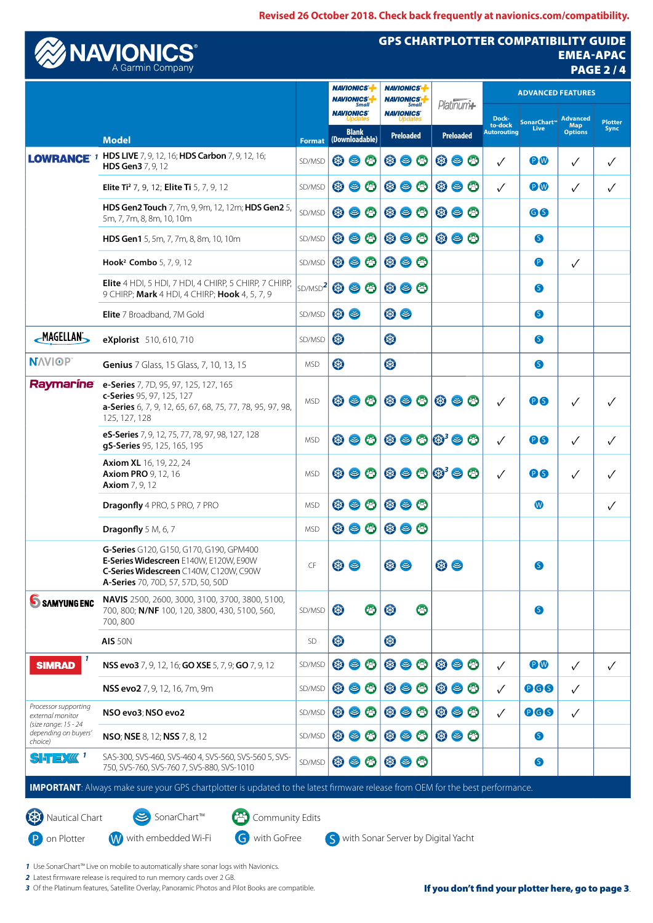**Revised 26 October 2018. Check back frequently at navionics.com/compatibility.**



## GPS CHARTPLOTTER COMPATIBILITY GUIDE **EMEA-APAC** PAGE 2 / 4

|                                                         | <b>Model</b>                                                                                                                                                      |                         | <b>NAVIONICS</b><br><b>NAVIONICS</b><br><b>Small</b> |                                  | <b>NAVIONICS-</b><br><b>NAVIONICS</b><br><b>Small</b> |            | Platinum+                            |                               |                                                             | <b>ADVANCED FEATURES</b> |                                        |                                  |                                          |                               |
|---------------------------------------------------------|-------------------------------------------------------------------------------------------------------------------------------------------------------------------|-------------------------|------------------------------------------------------|----------------------------------|-------------------------------------------------------|------------|--------------------------------------|-------------------------------|-------------------------------------------------------------|--------------------------|----------------------------------------|----------------------------------|------------------------------------------|-------------------------------|
|                                                         |                                                                                                                                                                   |                         | (Downloadable)                                       | <b>NAVIONICS</b><br><b>Blank</b> |                                                       |            | <b>NAVIONICS</b><br><b>Preloaded</b> |                               | <b>Preloaded</b>                                            |                          | Dock-<br>to-dock<br><b>Autorouting</b> | SonarChart <sup>**</sup><br>Live | <b>Advanced</b><br>Map<br><b>Options</b> | <b>Plotter</b><br><b>Sync</b> |
|                                                         | <b>LOWRANCE</b> 1 HDS LIVE 7, 9, 12, 16; HDS Carbon 7, 9, 12, 16;<br>HDS Gen3 7, 9, 12                                                                            | <b>Format</b><br>SD/MSD |                                                      |                                  | $\circledcirc$ $\circledcirc$                         |            |                                      | $\circledcirc$ $\circledcirc$ | $\circledcirc$                                              |                          | ✓                                      | <b>PW</b>                        | $\checkmark$                             | ✓                             |
|                                                         | <b>Elite Ti<sup>2</sup> 7, 9, 12; Elite Ti</b> 5, 7, 9, 12                                                                                                        | SD/MSD                  |                                                      |                                  | $\circledcirc$ $\circledcirc$                         |            |                                      | $\circledcirc$ $\circledcirc$ | $\circledast$ $\circledast$                                 |                          | $\checkmark$                           | PW                               | $\checkmark$                             | $\checkmark$                  |
|                                                         | HDS Gen2 Touch 7, 7m, 9, 9m, 12, 12m; HDS Gen2 5,<br>5m, 7, 7m, 8, 8m, 10, 10m                                                                                    | SD/MSD                  |                                                      |                                  | $\circledcirc$ $\circledcirc$                         |            |                                      | $\circledcirc$ $\circledcirc$ | $\circledcirc$ $\circledcirc$                               |                          |                                        | GS                               |                                          |                               |
|                                                         | HDS Gen1 5, 5m, 7, 7m, 8, 8m, 10, 10m                                                                                                                             | SD/MSD                  |                                                      |                                  | $\circledcirc$ $\circledcirc$ $\mid$                  |            |                                      | $\circledast$ $\circledast$   | $\circledcirc$                                              |                          |                                        | S                                |                                          |                               |
|                                                         | Hook <sup>2</sup> Combo 5, 7, 9, 12                                                                                                                               | SD/MSD                  |                                                      |                                  | $\circledcirc$ $\circledcirc$                         |            | $\circledcirc$ $\circledcirc$        |                               |                                                             |                          |                                        | <sup>O</sup>                     | $\checkmark$                             |                               |
|                                                         | Elite 4 HDI, 5 HDI, 7 HDI, 4 CHIRP, 5 CHIRP, 7 CHIRP,<br>9 CHIRP; Mark 4 HDI, 4 CHIRP; Hook 4, 5, 7, 9                                                            | SD/MSD <sup>2</sup>     |                                                      |                                  | $\circledcirc$ $\circledcirc$                         |            | $\circledcirc$ $\circledcirc$        |                               |                                                             |                          |                                        | S                                |                                          |                               |
|                                                         | Elite 7 Broadband, 7M Gold                                                                                                                                        | SD/MSD                  |                                                      | <b>® 8</b>                       |                                                       |            | $\circledast$                        |                               |                                                             |                          |                                        | S                                |                                          |                               |
| <b>MAGELLAN</b>                                         | eXplorist 510, 610, 710                                                                                                                                           | SD/MSD                  | 国                                                    |                                  |                                                       | 3          |                                      |                               |                                                             |                          |                                        | S                                |                                          |                               |
| <b>NAVIOP</b>                                           | <b>Genius</b> 7 Glass, 15 Glass, 7, 10, 13, 15                                                                                                                    | <b>MSD</b>              | 4                                                    |                                  |                                                       | 3          |                                      |                               |                                                             |                          |                                        | S                                |                                          |                               |
| Raymarine                                               | e-Series 7, 7D, 95, 97, 125, 127, 165<br>c-Series 95, 97, 125, 127<br>a-Series 6, 7, 9, 12, 65, 67, 68, 75, 77, 78, 95, 97, 98,<br>125, 127, 128                  | <b>MSD</b>              |                                                      |                                  | $\circledcirc$ $\circledcirc$                         |            |                                      |                               | $\circledcirc \circledcirc \circledcirc$                    |                          | $\checkmark$                           | <b>DS</b>                        | $\checkmark$                             | $\checkmark$                  |
|                                                         | eS-Series 7, 9, 12, 75, 77, 78, 97, 98, 127, 128<br>gS-Series 95, 125, 165, 195                                                                                   | <b>MSD</b>              |                                                      |                                  | $\circledcirc$ $\circledcirc$                         |            |                                      |                               | $\circledcirc$ $\circledcirc$ $\circledcirc$ $\circledcirc$ |                          | $\checkmark$                           | <b>PS</b>                        | $\checkmark$                             | $\checkmark$                  |
|                                                         | <b>Axiom XL</b> 16, 19, 22, 24<br><b>Axiom PRO 9, 12, 16</b><br><b>Axiom</b> 7, 9, 12                                                                             | <b>MSD</b>              |                                                      |                                  | $\circledcirc$ $\circledcirc$                         |            |                                      |                               | $\circledcirc$ $\circledcirc$ $\circledcirc$ $\circledcirc$ |                          | $\checkmark$                           | <b>00</b>                        | $\checkmark$                             | $\checkmark$                  |
|                                                         | <b>Dragonfly</b> 4 PRO, 5 PRO, 7 PRO                                                                                                                              | <b>MSD</b>              |                                                      |                                  | $\circledcirc$ $\circledcirc$                         |            | $\circledast$ $\circledast$          |                               |                                                             |                          |                                        | W                                |                                          | $\checkmark$                  |
|                                                         | Dragonfly 5 M, 6, 7                                                                                                                                               | <b>MSD</b>              |                                                      |                                  | $\circledcirc$ $\circledcirc$                         |            | $\circledast$ $\circledast$          |                               |                                                             |                          |                                        |                                  |                                          |                               |
|                                                         | G-Series G120, G150, G170, G190, GPM400<br>E-Series Widescreen E140W, E120W, E90W<br>C-Series Widescreen C140W, C120W, C90W<br>A-Series 70, 70D, 57, 57D, 50, 50D | CF                      |                                                      | <b>® 8</b>                       |                                                       |            | $\circledast$                        |                               | $\circledast$                                               |                          |                                        | S                                |                                          |                               |
| <b>SAMYUNGENC</b>                                       | <b>NAVIS</b> 2500, 2600, 3000, 3100, 3700, 3800, 5100,<br>700, 800; N/NF 100, 120, 3800, 430, 5100, 560,<br>700,800                                               | SD/MSD                  | 4                                                    |                                  | ☺                                                     | 3          |                                      | ◎                             |                                                             |                          |                                        | S                                |                                          |                               |
|                                                         | <b>AIS 50N</b>                                                                                                                                                    | SD                      | 4                                                    |                                  |                                                       | $\bigcirc$ |                                      |                               |                                                             |                          |                                        |                                  |                                          |                               |
| 1<br><b>SIMRAD</b>                                      | <b>NSS evo3</b> 7, 9, 12, 16; <b>GO XSE</b> 5, 7, 9; <b>GO</b> 7, 9, 12                                                                                           | SD/MSD                  |                                                      |                                  | $\circledcirc$ $\circledcirc$                         |            |                                      | $\circledcirc$ $\circledcirc$ | $\circledast$ $\circledast$                                 |                          | $\checkmark$                           | PW                               | $\checkmark$                             | $\checkmark$                  |
|                                                         | NSS evo2 7, 9, 12, 16, 7m, 9m                                                                                                                                     | SD/MSD                  |                                                      |                                  | $\circledcirc$ $\circledcirc$                         |            |                                      | $\circledcirc$ $\circledcirc$ | $\circledcirc$ $\circledcirc$                               |                          | $\checkmark$                           | <b>066</b>                       | $\checkmark$                             |                               |
| Processor supporting<br>external monitor                | NSO evo3; NSO evo2                                                                                                                                                | SD/MSD                  |                                                      |                                  | $\circledcirc$ $\circledcirc$                         |            |                                      | $\circledast$                 | $\circledcirc$ $\circledcirc$                               |                          | $\checkmark$                           | 966                              | $\checkmark$                             |                               |
| (size range: 15 - 24<br>depending on buyers'<br>choice) | <b>NSO; NSE 8, 12; NSS 7, 8, 12</b>                                                                                                                               | SD/MSD                  |                                                      |                                  | $\circledcirc$ $\circledcirc$                         |            |                                      | $\circledast$ $\circledast$   | $\circledcirc$ $\circledcirc$                               |                          |                                        | $\bullet$                        |                                          |                               |
| SFEX«1                                                  | SAS-300, SVS-460, SVS-460 4, SVS-560, SVS-560 5, SVS-<br>750, SVS-760, SVS-760 7, SVS-880, SVS-1010                                                               | SD/MSD                  | $\circledast$                                        |                                  | ❸                                                     |            | $\circledast$ $\circledast$          |                               |                                                             |                          |                                        | $\bullet$                        |                                          |                               |
|                                                         | <b>IMPORTANT:</b> Always make sure your GPS chartplotter is updated to the latest firmware release from OEM for the best performance.                             |                         |                                                      |                                  |                                                       |            |                                      |                               |                                                             |                          |                                        |                                  |                                          |                               |

P on Plotter **W** with embedded Wi-Fi **G** with GoFree S with Sonar Server by Digital Yacht

*1* Use SonarChart™ Live on mobile to automatically share sonar logs with Navionics.

*2* Latest firmware release is required to run memory cards over 2 GB.

3 Of the Platinum features, Satellite Overlay, Panoramic Photos and Pilot Books are compatible.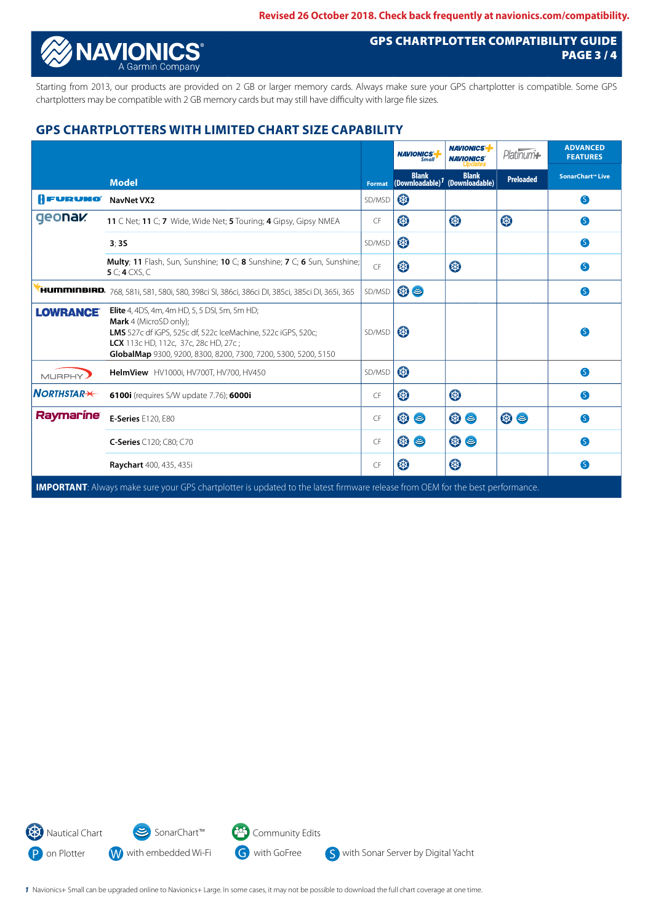

## GPS CHARTPLOTTER COMPATIBILITY GUIDE PAGE 3 / 4

Starting from 2013, our products are provided on 2 GB or larger memory cards. Always make sure your GPS chartplotter is compatible. Some GPS chartplotters may be compatible with 2 GB memory cards but may still have difficulty with large file sizes.

## **GPS CHARTPLOTTERS WITH LIMITED CHART SIZE CAPABILITY**

|                      |                                                                                                                                                                                                                                                                 |           | <b>NAVIONICS</b><br><b>Small</b>            | <b>NAVIONICS-</b><br><b>NAVIONICS</b> | Platinum <sup>*</sup> | <b>ADVANCED</b><br><b>FEATURES</b> |
|----------------------|-----------------------------------------------------------------------------------------------------------------------------------------------------------------------------------------------------------------------------------------------------------------|-----------|---------------------------------------------|---------------------------------------|-----------------------|------------------------------------|
|                      | <b>Model</b>                                                                                                                                                                                                                                                    | Format    | <b>Blank</b><br>(Downloadable) <sup>7</sup> | <b>Blank</b><br>(Downloadable)        | <b>Preloaded</b>      | SonarChart™ Live                   |
| <b>AFURUNO</b>       | <b>NavNet VX2</b>                                                                                                                                                                                                                                               | SD/MSD    | \$                                          |                                       |                       | S                                  |
| geonak               | 11 C Net; 11 C; 7 Wide, Wide Net; 5 Touring; 4 Gipsy, Gipsy NMEA                                                                                                                                                                                                | <b>CF</b> | 3                                           | \$                                    | \$                    | S                                  |
|                      | 3:35                                                                                                                                                                                                                                                            | SD/MSD    | 3                                           |                                       |                       | S                                  |
|                      | Multy; 11 Flash, Sun, Sunshine; 10 C; 8 Sunshine; 7 C; 6 Sun, Sunshine;<br>5 $C$ ; 4 CXS, C                                                                                                                                                                     | CF        | 3                                           | B                                     |                       | G                                  |
|                      | <b>нитппнвікр.</b> 768, 581і, 581, 580і, 580, 398сі SI, 386сі, 386сі DI, 385сі, 385сі DI, 365і, 365                                                                                                                                                             | SD/MSD    | $\circledast$                               |                                       |                       | S                                  |
| <b>LOWRANCE</b>      | <b>Elite</b> 4, 4DS, 4m, 4m HD, 5, 5 DSI, 5m, 5m HD;<br><b>Mark</b> 4 (MicroSD only);<br>LMS 527c df iGPS, 525c df, 522c IceMachine, 522c iGPS, 520c;<br>LCX 113c HD, 112c, 37c, 28c HD, 27c;<br>GlobalMap 9300, 9200, 8300, 8200, 7300, 7200, 5300, 5200, 5150 | SD/MSD    | 图                                           |                                       |                       | S                                  |
| MURPHY)              | HelmView HV1000i, HV700T, HV700, HV450                                                                                                                                                                                                                          | SD/MSD    | 3                                           |                                       |                       | S                                  |
| $N$ ORTHSTAR $\star$ | 6100i (requires S/W update 7.76); 6000i                                                                                                                                                                                                                         | CF        | 3                                           | B                                     |                       | S                                  |
| Raymarine            | <b>E-Series</b> E120, E80                                                                                                                                                                                                                                       | CF        | ⊛ ⊜                                         | $\circledast$                         | $\circledast$         | S                                  |
|                      | C-Series C120; C80; C70                                                                                                                                                                                                                                         | CF        | ⊛ ⊜                                         | $\circledast$                         |                       | S                                  |
|                      | Raychart 400, 435, 435i                                                                                                                                                                                                                                         | CF        | 3                                           | B                                     |                       | S                                  |
|                      | <b>IMPORTANT:</b> Always make sure your GPS chartplotter is updated to the latest firmware release from OEM for the best performance.                                                                                                                           |           |                                             |                                       |                       |                                    |



*1* Navionics+ Small can be upgraded online to Navionics+ Large. In some cases, it may not be possible to download the full chart coverage at one time.